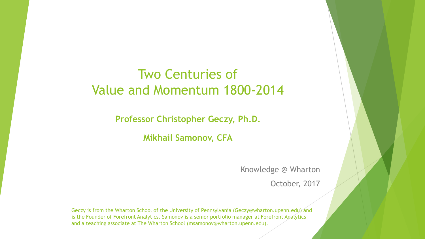## Two Centuries of Value and Momentum 1800-2014

**Professor Christopher Geczy, Ph.D.**

**Mikhail Samonov, CFA**

Knowledge @ Wharton

October, 2017

Geczy is from the Wharton School of the University of Pennsylvania (Geczy@wharton.upenn.edu) and is the Founder of Forefront Analytics. Samonov is a senior portfolio manager at Forefront Analytics and a teaching associate at The Wharton School (msamonov@wharton.upenn.edu).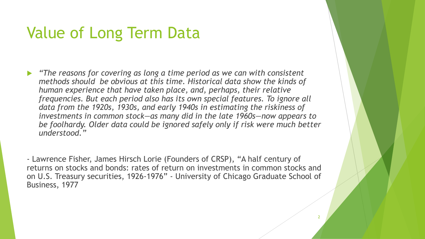# Value of Long Term Data

 *"The reasons for covering as long a time period as we can with consistent methods should be obvious at this time. Historical data show the kinds of human experience that have taken place, and, perhaps, their relative frequencies. But each period also has its own special features. To ignore all data from the 1920s, 1930s, and early 1940s in estimating the riskiness of investments in common stock—as many did in the late 1960s—now appears to be foolhardy. Older data could be ignored safely only if risk were much better understood."*

- Lawrence Fisher, James Hirsch Lorie (Founders of CRSP), "A half century of returns on stocks and bonds: rates of return on investments in common stocks and on U.S. Treasury securities, 1926-1976" - University of Chicago Graduate School of Business, 1977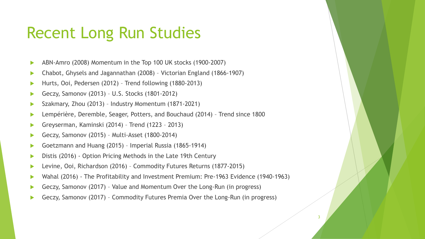## Recent Long Run Studies

- ABN-Amro (2008) Momentum in the Top 100 UK stocks (1900-2007)
- Chabot, Ghysels and Jagannathan (2008) Victorian England (1866-1907)
- ▶ Hurts, Ooi, Pedersen (2012) Trend following (1880-2013)
- Geczy, Samonov (2013) U.S. Stocks (1801-2012)
- ▶ Szakmary, Zhou (2013) Industry Momentum (1871-2021)
- ▶ Lempérière, Deremble, Seager, Potters, and Bouchaud (2014) Trend since 1800
- Greyserman, Kaminski (2014) Trend (1223 2013)
- Geczy, Samonov (2015) Multi-Asset (1800-2014)
- Goetzmann and Huang (2015) Imperial Russia (1865-1914)
- **Distis (2016) Option Pricing Methods in the Late 19th Century**
- ▶ Levine, Ooi, Richardson (2016) Commodity Futures Returns (1877-2015)
- Wahal (2016) The Profitability and Investment Premium: Pre-1963 Evidence (1940-1963)
- Geczy, Samonov (2017) Value and Momentum Over the Long-Run (in progress)
- Geczy, Samonov (2017) Commodity Futures Premia Over the Long-Run (in progress)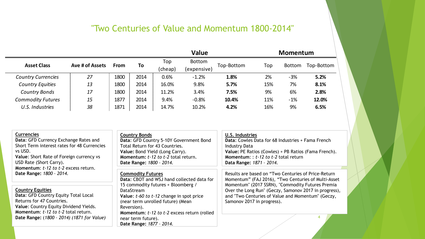## "Two Centuries of Value and Momentum 1800-2014"

|                           |                 |      |      | <b>Value</b> |             |            | <b>Momentum</b> |               |            |
|---------------------------|-----------------|------|------|--------------|-------------|------------|-----------------|---------------|------------|
| <b>Asset Class</b>        | Ave # of Assets | From | To   | Top          | Bottom      | Top-Bottom | Top             | <b>Bottom</b> | Top-Bottom |
|                           |                 |      |      | (cheap)      | (expensive) |            |                 |               |            |
| <b>Country Currencies</b> | 27              | 1800 | 2014 | 0.6%         | $-1.2%$     | 1.8%       | 2%              | $-3%$         | 5.2%       |
| <b>Country Equities</b>   | 13              | 1800 | 2014 | 16.0%        | 9.8%        | 5.7%       | 15%             | 7%            | 8.1%       |
| <b>Country Bonds</b>      | 17              | 1800 | 2014 | 11.2%        | 3.4%        | 7.5%       | 9%              | 6%            | 2.8%       |
| <b>Commodity Futures</b>  | 15              | 1877 | 2014 | 9.4%         | $-0.8%$     | 10.4%      | 11%             | $-1%$         | 12.0%      |
| U.S. Industries           | 38              | 1871 | 2014 | 14.7%        | 10.2%       | 4.2%       | 16%             | 9%            | 6.5%       |
|                           |                 |      |      |              |             |            |                 |               |            |

| <b>Currencies</b>                              | <b>Country Bonds</b>                                | U.S. Industries                                       |  |  |  |
|------------------------------------------------|-----------------------------------------------------|-------------------------------------------------------|--|--|--|
| Data: GFD Currency Exchange Rates and          | Data: GFD Country 5-10Y Government Bond             | Data: Cowles Data for 68 Industries + Fama French     |  |  |  |
| Short Term interest rates for 48 Currencies    | Total Return for 43 Countries.                      | <b>Industry Data</b>                                  |  |  |  |
| vs USD.                                        | Value: Bond Yield (Long Carry).                     | Value: PE Ratios (Cowles) + PB Ratios (Fama French).  |  |  |  |
| Value: Short Rate of Foreign currency vs       | Momentum: t-12 to t-2 total return.                 | <b>Momentum:</b> : $t-12$ to $t-2$ total return       |  |  |  |
| USD Rate (Short Carry).                        | Date Range: 1800 - 2014.                            | Data Range: 1871 - 2014.                              |  |  |  |
| Momentum: t-12 to t-2 excess return.           |                                                     |                                                       |  |  |  |
| Date Range: 1800 - 2014.                       | <b>Commodity Futures</b>                            | Results are based on "Two Centuries of Price-Return   |  |  |  |
|                                                | Data: CBOT and WSJ hand collected data for          | Momentum" (FAJ 2016), "Two Centuries of Multi-Asset   |  |  |  |
|                                                | 15 commodity futures + Bloomberg /                  | Momentum" (2017 SSRN), "Commodity Futures Premia      |  |  |  |
| <b>Country Equities</b>                        | DataStream                                          | Over the Long Run" (Geczy, Samonov 2017 in progress), |  |  |  |
| Data: GFD Country Equity Total Local           | Value: t-60 to t-12 change in spot price            | and "Two Centuries of Value and Momentum" (Geczy,     |  |  |  |
| Returns for 47 Countries.                      | (near term unrolled future) (Mean                   | Samonov 2017 in progress).                            |  |  |  |
| Value: Country Equity Dividend Yields.         | Reversion).                                         |                                                       |  |  |  |
| <b>Momentum:</b> $t-12$ to $t-2$ total return. | <b>Momentum: t-12 to t-2 excess return (rolled)</b> |                                                       |  |  |  |
| Date Range: (1800 - 2014) (1871 for Value)     | near term future).                                  |                                                       |  |  |  |
|                                                | Date Range: 1877 - 2014.                            |                                                       |  |  |  |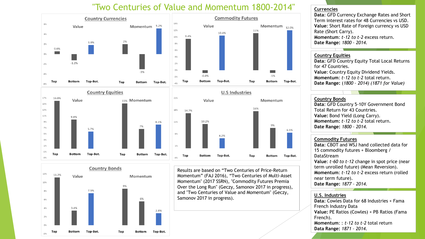### "Two Centuries of Value and Momentum 1800-2014"



Results are based on "Two Centuries of Price-Return Momentum" (FAJ 2016), "Two Centuries of Multi-Asset Momentum" (2017 SSRN), "Commodity Futures Premia Over the Long Run" (Geczy, Samonov 2017 in progress), and "Two Centuries of Value and Momentum" (Geczy, Samonov 2017 in progress).

#### **Currencies**

**Data**: GFD Currency Exchange Rates and Short Term interest rates for 48 Currencies vs USD. **Value**: Short Rate of Foreign currency vs USD Rate (Short Carry). **Momentum**: *t-12 to t-2* excess return. **Date Range:** *1800 – 2014.*

#### **Country Equities**

**Data**: GFD Country Equity Total Local Returns for 47 Countries. **Value**: Country Equity Dividend Yields. **Momentum**: *t-12 to t-2* total return. **Date Range:** (*1800 – 2014) (1871 for Value)*

#### **Country Bonds**

**Data**: GFD Country 5-10Y Government Bond Total Return for 43 Countries. **Value:** Bond Yield (Long Carry). **Momentum:** *t-12 to t-2* total return. **Date Range:** *1800 – 2014.*

#### **Commodity Futures**

**Data**: CBOT and WSJ hand collected data for 15 commodity futures + Bloomberg / DataStream **Value**: *t-60 to t-12* change in spot price (near term unrolled future) (Mean Reversion). **Momentum**: *t-12 to t-2* excess return (rolled near term future). **Date Range:** *1877 – 2014.*

#### **U.S. Industries**

French). 5 **Momentum**: : *t-12 to t-2* total return **Data**: Cowles Data for 68 Industries + Fama French Industry Data **Value:** PE Ratios (Cowles) + PB Ratios (Fama **Data Range:** *1871 – 2014.*